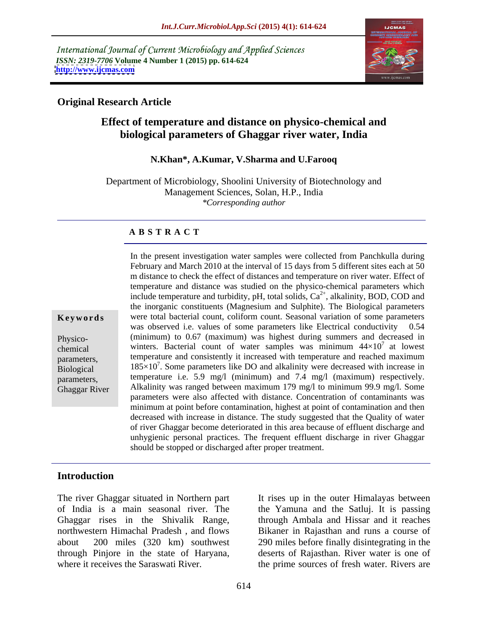International Journal of Current Microbiology and Applied Sciences *ISSN: 2319-7706* **Volume 4 Number 1 (2015) pp. 614-624 <http://www.ijcmas.com>**



### **Original Research Article**

# **Effect of temperature and distance on physico-chemical and biological parameters of Ghaggar river water, India**

#### **N.Khan\*, A.Kumar, V.Sharma and U.Farooq**

Department of Microbiology, Shoolini University of Biotechnology and Management Sciences, Solan, H.P., India *\*Corresponding author*

#### **A B S T R A C T**

Ghaggar River

February and March 2010 at the interval of 15 days from 5 different sites each at 50 m distance to check the effect of distances and temperature on river water. Effect of temperature and distance was studied on the physico-chemical parameters which include temperature and turbidity,  $pH$ , total solids,  $Ca<sup>2+</sup>$ , alkalinity, BOD, COD and the inorganic constituents (Magnesium and Sulphite). The Biological parameters were total bacterial count, coliform count. Seasonal variation of some parameters **Ke ywo rds** was observed i.e. values of some parameters like Electrical conductivity 0.54 (minimum) to 0.67 (maximum) was highest during summers and decreased in Physico chemical winters. Bacterial count of water samples was minimum  $44\times10^{7}$  at lowest <sup>7</sup> at lowest parameters, temperature and consistently it increased with temperature and reached maximum Biological  $185 \times 10^7$ . Some parameters like DO and alkalinity were decreased with increase in parameters, temperature i.e. 5.9 mg/l (minimum) and 7.4 mg/l (maximum) respectively. Alkalinity was ranged between maximum 179 mg/l to minimum 99.9 mg/l. Some parameters were also affected with distance. Concentration of contaminants was minimum at point before contamination, highest at point of contamination and then decreased with increase in distance. The study suggested that the Quality of water of river Ghaggar become deteriorated in this area because of effluent discharge and unhygienic personal practices. The frequent effluent discharge in river Ghaggar should be stopped or discharged after proper treatment.

In the present investigation water samples were collected from Panchkulla during

# **Introduction**

The river Ghaggar situated in Northern part It rises up in the outer Himalayas between of India is a main seasonal river. The the Yamuna and the Satluj. It is passing Ghaggar rises in the Shivalik Range, northwestern Himachal Pradesh , and flows Bikaner in Rajasthan and runs a course of about 200 miles (320 km) southwest 290 miles before finally disintegrating in the through Pinjore in the state of Haryana, deserts of Rajasthan. River water is one of

where it receives the Saraswati River. **the prime sources of fresh water.** Rivers are through Ambala and Hissar and it reaches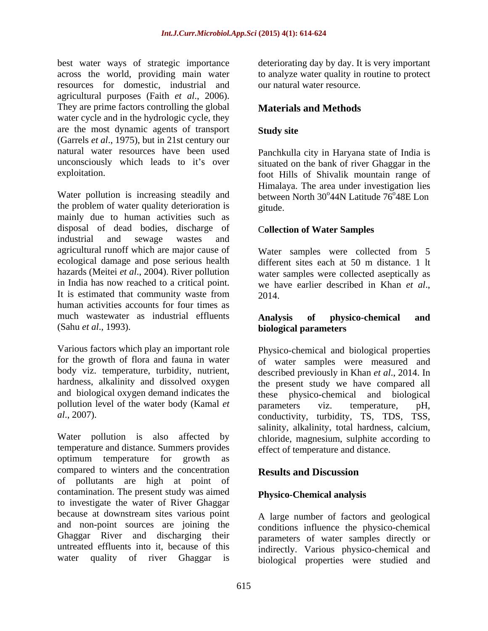best water ways of strategic importance deteriorating day by day. It is very important across the world, providing main water to analyze water quality in routine to protect resources for domestic, industrial and agricultural purposes (Faith *et al*., 2006). They are prime factors controlling the global water cycle and in the hydrologic cycle, they are the most dynamic agents of transport (Garrels *et al*., 1975), but in 21st century our natural water resources have been used Panchkulla city in Haryana state of India is unconsciously which leads to it's over situated on the bank of river Ghaggar in the

Water pollution is increasing steadily and the problem of water quality deterioration is mainly due to human activities such as disposal of dead bodies, discharge of industrial and sewage wastes and agricultural runoff which are major cause of Water samples were collected from 5 ecological damage and pose serious health hazards (Meitei *et al*., 2004). River pollution water samples were collected aseptically as in India has now reached to a critical point. We have earlier described in Khan et al., It is estimated that community waste from  $2014$ human activities accounts for four times as much wastewater as industrial effluents **Analysis of physico-chemical and** 

pollution level of the water body (Kamal *et* parameters viz. temperature, pH,

Water pollution is also affected by chloride, magnesium, sulphite according to temperature and distance. Summers provides optimum temperature for growth as compared to winters and the concentration **Results and Discussion** of pollutants are high at point of contamination. The present study was aimed to investigate the water of River Ghaggar because at downstream sites various point and non-point sources are joining the Ghaggar River and discharging their parameters of water samples directly or untreated effluents into it, because of this indirectly. Various physico-chemical and

our natural water resource.

## **Materials and Methods**

## **Study site**

exploitation. foot Hills of Shivalik mountain range of Himalaya. The area under investigation lies between North  $30^{\circ}44N$  Latitude  $76^{\circ}48E$  Lon  $44N$  Latitude  $76^{\circ}48E$  Lon 48E Lon gitude. **Exercise Service Service Service Service Service Service Service Service Service Service Service Service Service Service Service Service Service Service Service Service Service Service Service Service Service Serv** 

#### C**ollection of Water Samples**

Water samples were collected from 5 different sites each at 50 m distance. 1 lt we have earlier described in Khan *et al*., 2014.

#### (Sahu *et al*., 1993). **biological parameters Analysis of physico-chemical and**

Various factors which play an important role Physico-chemical and biological properties for the growth of flora and fauna in water of water samples were measured and body viz. temperature, turbidity, nutrient, described previously in Khan *et al*., 2014. In hardness, alkalinity and dissolved oxygen the present study we have compared all and biological oxygen demand indicates the these physico-chemical and biological *al.*, 2007). conductivity, turbidity, TS, TDS, TSS, parameters viz. temperature, pH, salinity, alkalinity, total hardness, calcium, effect of temperature and distance.

## **Results and Discussion**

#### **Physico-Chemical analysis**

water quality of river Ghaggar is biological properties were studied and A large number of factors and geological conditions influence the physico-chemical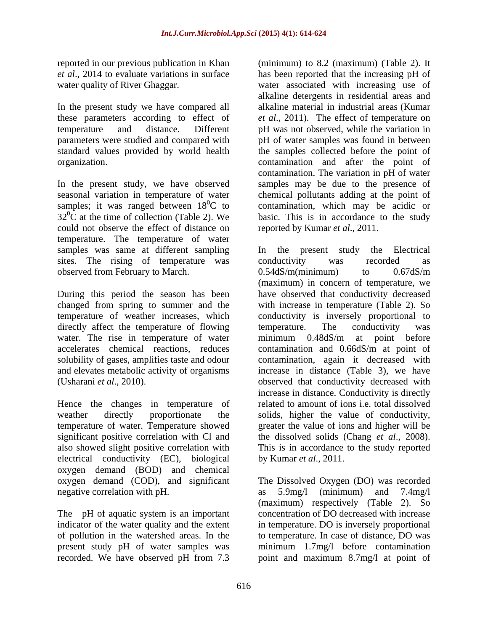In the present study we have compared all standard values provided by world health

could not observe the effect of distance on temperature. The temperature of water samples was same at different sampling In the present study the Electrical sites. The rising of temperature was conductivity was recorded as observed from February to March. 0.54dS/m(minimum) to 0.67dS/m

directly affect the temperature of flowing temperature. The conductivity was water. The rise in temperature of water minimum 0.48dS/m at point before accelerates chemical reactions, reduces contamination and 0.66dS/m at point of solubility of gases, amplifies taste and odour and elevates metabolic activity of organisms

Hence the changes in temperature of significant positive correlation with Cl and electrical conductivity (EC), biological oxygen demand (BOD) and chemical oxygen demand (COD), and significant The Dissolved Oxygen (DO) was recorded negative correlation with pH.  $\alpha$  as 5.9mg/l (minimum) and 7.4mg/l

The pH of aquatic system is an important present study pH of water samples was<br>recorded. We have observed pH from 7.3

reported in our previous publication in Khan (minimum) to 8.2 (maximum) (Table 2). It *et al*., 2014 to evaluate variations in surface has been reported that the increasing pH of water quality of River Ghaggar. water associated with increasing use of these parameters according to effect of *et al*., 2011). The effect of temperature on temperature and distance. Different pH was not observed, while the variation in parameters were studied and compared with pH of water samples was found in between organization. contamination and after the point of In the present study, we have observed samples may be due to the presence of seasonal variation in temperature of water chemical pollutants adding at the point of samples; it was ranged between  $18^{\circ}$ C to contamination, which may be acidic or  $32^{\circ}$ C at the time of collection (Table 2). We basic. This is in accordance to the study alkaline detergents in residential areas and alkaline material in industrial areas (Kumar the samples collected before the point of contamination. The variation in pH of water reported by Kumar *et al*., 2011.

During this period the season has been have observed that conductivity decreased changed from spring to summer and the with increase in temperature (Table 2). So temperature of weather increases, which conductivity is inversely proportional to accelerates chemical reactions, reduces contamination and 0.66dS/m at point of (Usharani *et al*., 2010). observed that conductivity decreased with weather directly proportionate the solids, higher the value of conductivity, temperature of water. Temperature showed greater the value of ions and higher will be also showed slight positive correlation with This is in accordance to the study reported In the present study the Electrical conductivity was recorded as  $0.54$ d $S/m$ (minimum) to  $0.67$ d $S/m$ (maximum) in concern of temperature, we temperature. The conductivity was minimum 0.48dS/m at point before contamination, again it decreased with increase in distance (Table 3), we have increase in distance. Conductivity is directly related to amount of ions i.e. total dissolved the dissolved solids (Chang *et al*., 2008). by Kumar *et al*., 2011.

indicator of the water quality and the extent in temperature. DO is inversely proportional of pollution in the watershed areas. In the to temperature. In case of distance, DO was recorded. We have observed pH from 7.3 point and maximum 8.7mg/l at point ofas 5.9mg/l (minimum) and 7.4mg/l (maximum) respectively (Table 2). So concentration of DO decreased with increase minimum 1.7mg/l before contamination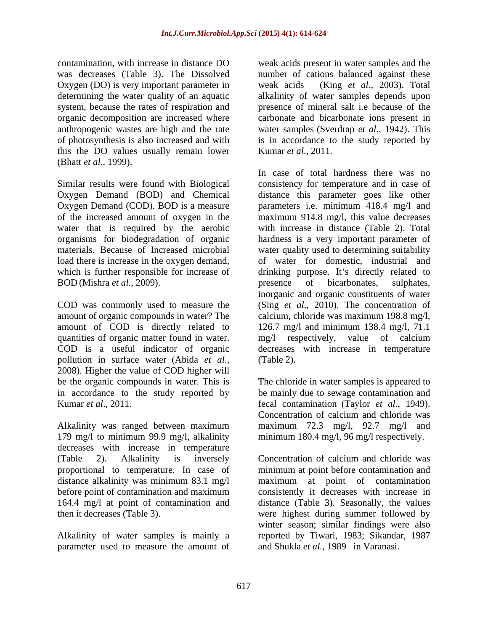Oxygen (DO) is very important parameter in this the DO values usually remain lower (Bhatt *et al*., 1999).

amount of organic compounds in water? The quantities of organic matter found in water. mg/l respectively, value of calcium pollution in surface water (Abida *et al.*, (Table 2).<br>2008). Higher the value of COD higher will

Alkalinity was ranged between maximum 179 mg/l to minimum 99.9 mg/l, alkalinity decreases with increase in temperature

Alkalinity of water samples is mainly a parameter used to measure the amount of

contamination, with increase in distance DO weak acids present in water samples and the was decreases (Table 3). The Dissolved number of cations balanced against these determining the water quality of an aquatic alkalinity of water samples depends upon system, because the rates of respiration and presence of mineral salt i.e because of the organic decomposition are increased where carbonate and bicarbonate ions present in anthropogenic wastes are high and the rate water samples (Sverdrap *et al*., 1942). This of photosynthesis is also increased and with is in accordance to the study reported by (King *et al.*, 2003). Total Kumar *et al*., 2011.

Similar results were found with Biological consistency for temperature and in case of Oxygen Demand (BOD) and Chemical distance this parameter goes like other Oxygen Demand (COD). BOD is a measure parameters i.e. minimum 418.4 mg/l and of the increased amount of oxygen in the maximum 914.8 mg/l, this value decreases water that is required by the aerobic with increase in distance (Table 2). Total organisms for biodegradation of organic hardness is a very important parameter of materials. Because of Increased microbial water quality used to determining suitability load there is increase in the oxygen demand, of water for domestic, industrial and which is further responsible for increase of drinking purpose. It's directly related to BOD (Mishra *et al.*, 2009). **EXECUTE:** presence of bicarbonates, sulphates, COD was commonly used to measure the (Sing *et al*., 2010). The concentration of amount of COD is directly related to 126.7 mg/l and minimum 138.4 mg/l, 71.1 COD is a useful indicator of organic decreases with increase in temperature In case of total hardness there was no presence of bicarbonates, sulphates, inorganic and organic constituents of water calcium, chloride was maximum 198.8 mg/l, mg/l respectively, value of calcium (Table 2).

be the organic compounds in water. This is The chloride in water samples is appeared to in accordance to the study reported by be mainly due to sewage contamination and Kumar *et al*., 2011. fecal contamination (Taylor *et al*., 1949). Concentration of calcium and chloride was maximum 72.3 mg/l, 92.7 mg/l and minimum 180.4 mg/l, 96 mg/l respectively.

(Table 2). Alkalinity is inversely Concentration of calcium and chloride was proportional to temperature. In case of minimum at point before contamination and distance alkalinity was minimum 83.1 mg/l maximum at point of contamination before point of contamination and maximum consistently it decreases with increase in 164.4 mg/l at point of contamination and distance (Table 3). Seasonally, the values then it decreases (Table 3). were highest during summer followed by winter season; similar findings were also reported by Tiwari, 1983; Sikandar, 1987 and Shukla *et al.,* 1989 in Varanasi.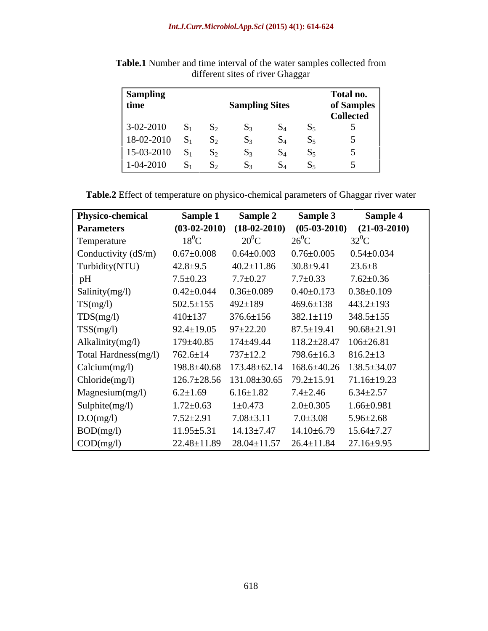| <b>Sampling</b><br>time |               | <b>Sampling Sites</b> |    | Total no.<br>of Samples<br><b>Collected</b> |
|-------------------------|---------------|-----------------------|----|---------------------------------------------|
| $3-02-2010$             |               |                       |    |                                             |
| 18-02-2010              | $\mathbf{D}$  |                       |    |                                             |
| 15-03-2010              | $\mathbf{D1}$ |                       |    |                                             |
| 1-04-2010               |               |                       | O4 |                                             |

**Table.1** Number and time interval of the water samples collected from different sites of river Ghaggar

| Table.2 Eff<br>. Effect of temperature<br>ure on physico- | t Ghaggar river water<br>co-chemical parameters of |  |
|-----------------------------------------------------------|----------------------------------------------------|--|
|                                                           |                                                    |  |

| <b>Physico-chemical</b>   | Sample 1          | <b>Sample 2</b>                     | <b>Sample 3</b>   | <b>Sample 4</b>                              |
|---------------------------|-------------------|-------------------------------------|-------------------|----------------------------------------------|
| <b>Parameters</b>         | $(03-02-2010)$    |                                     |                   | $(18-02-2010)$ $(05-03-2010)$ $(21-03-2010)$ |
| Temperature               | $18^0C$           | $20^0C$                             | $26^{\circ}$ C    | $32^0C$                                      |
| Conductivity (dS/m)       | $0.67 \pm 0.008$  | $0.64 \pm 0.003$                    | $0.76 \pm 0.005$  | $0.54 \pm 0.034$                             |
| Turbidity(NTU)            | $42.8 \pm 9.5$    | $40.2 \pm 11.86$                    | $30.8 + 9.41$     | $23.6 \pm 8$                                 |
| pH                        | $7.5 \pm 0.23$    | $7.7 \pm 0.27$                      | $7.7 \pm 0.33$    | $7.62 \pm 0.36$                              |
| Salinity(mg/l)            | $0.42{\pm}0.044$  | $0.36 \pm 0.089$                    | $0.40 \pm 0.173$  | $0.38 \pm 0.109$                             |
| TS(mg/l)                  | $502.5 \pm 155$   | $492 \pm 189$                       | $469.6 \pm 138$   | $443.2 \pm 193$                              |
| TDS(mg/l)                 | $410 \pm 137$     | $376.6 \pm 156$                     | $382.1 \pm 119$   | $348.5 \pm 155$                              |
| TSS(mg/l)                 | $92.4 \pm 19.05$  | $97 + 22.20$                        | $87.5 \pm 19.41$  | $90.68 \pm 21.91$                            |
| Alkalinity(mg/l)          | $179 \pm 40.85$   | 174±49.44                           | $118.2 \pm 28.47$ | $106 \pm 26.81$                              |
| Total Hardness(mg/l)      | $762.6 \pm 14$    | $737 \pm 12.2$                      | 798.6±16.3        | $816.2 \pm 13$                               |
| Calcium(mg/l)             | $198.8 \pm 40.68$ | 173.48±62.14                        | 168.6±40.26       | $138.5 \pm 34.07$                            |
| Chloride(mg/l)            | $126.7 \pm 28.56$ | $131.08 \pm 30.65$ 79.2 $\pm 15.91$ |                   | $71.16 \pm 19.23$                            |
| Magnesium(mg/l)           | $6.2 \pm 1.69$    | $6.16 \pm 1.82$                     | $7.4 \pm 2.46$    | $6.34 \pm 2.57$                              |
| Sulphite(mg/l)            | $1.72 \pm 0.63$   | $1 \pm 0.473$                       | $2.0 \pm 0.305$   | $1.66 \pm 0.981$                             |
| D.O(mg/l)                 | $7.52 \pm 2.91$   | $7.08 \pm 3.11$                     | $7.0 \pm 3.08$    | $5.96 \pm 2.68$                              |
| BOD(mg/l)                 | $11.95 \pm 5.31$  | $14.13 \pm 7.47$                    | $14.10 \pm 6.79$  | $15.64 \pm 7.27$                             |
| $\text{COD}(\text{mg/l})$ | $22.48 \pm 11.89$ | $28.04 \pm 11.57$ $26.4 \pm 11.84$  |                   | $27.16 \pm 9.95$                             |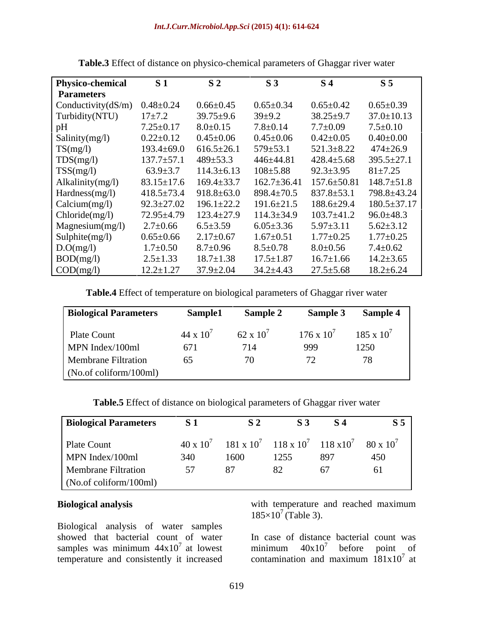| Physico-chemical          | <b>S</b> 1       | S <sub>2</sub>   | S <sub>3</sub>    | S <sub>4</sub>    | S <sub>5</sub>   |
|---------------------------|------------------|------------------|-------------------|-------------------|------------------|
| <b>Parameters</b>         |                  |                  |                   |                   |                  |
| Conductivity(dS/m)        | $0.48 \pm 0.24$  | $0.66 \pm 0.45$  | $0.65 \pm 0.34$   | $0.65 \pm 0.42$   | $0.65 \pm 0.39$  |
| Turbidity(NTU)            | $17 + 7.2$       | $39.75 \pm 9.6$  | $39 \pm 9.2$      | $38.25 \pm 9.7$   | $37.0 \pm 10.13$ |
| pН                        | $7.25 \pm 0.17$  | $8.0 \pm 0.15$   | $7.8 \pm 0.14$    | $7.7 \pm 0.09$    | $7.5 \pm 0.10$   |
| Salinity(mg/l)            | $0.22 \pm 0.12$  | $0.45 \pm 0.06$  | $0.45 \pm 0.06$   | $0.42 \pm 0.05$   | $0.40 \pm 0.00$  |
| TS(mg/l)                  | $193.4 \pm 69.0$ | $616.5 \pm 26.1$ | $579 \pm 53.$     | $521.3 \pm 8.22$  | $474 \pm 26.9$   |
| TDS(mg/l)                 | $137.7 \pm 57.1$ | $489 \pm 53.3$   | 446±44.8          | $428.4 \pm 5.68$  | $395.5 \pm 27.1$ |
| TSS(mg/l)                 | $63.9 \pm 3.7$   | $114.3 \pm 6.13$ | $108 + 5.88$      | $92.3 \pm 3.95$   | $81 \pm 7.25$    |
| Alkalinity(mg/l)          | $83.15 \pm 17.6$ | $169.4 \pm 33.7$ | $162.7 \pm 36.41$ | $157.6 \pm 50.81$ | $148.7 \pm 51.8$ |
| Hardness(mg/l)            | $418.5 \pm 73.4$ | $918.8 \pm 63.0$ | $898.4 \pm 70.5$  | $837.8 \pm 53.1$  | 798.8±43.24      |
| Calcium(mg/l)             | $92.3 \pm 27.02$ | $196.1 \pm 22.2$ | $191.6 \pm 21.5$  | $188.6 \pm 29.4$  | 180.5±37.17      |
| Chloride(mg/l)            | 72.95±4.79       | $123.4 \pm 27.9$ | $114.3 \pm 34.9$  | $103.7 \pm 41.2$  | $96.0 \pm 48.3$  |
| Magnesium(mg/l)           | $2.7 \pm 0.66$   | $6.5 \pm 3.59$   | $6.05 \pm 3.36$   | $5.97 \pm 3.11$   | $5.62 \pm 3.12$  |
| Sulphite(mg/l)            | $0.65 \pm 0.66$  | $2.17 \pm 0.67$  | $1.67 \pm 0.51$   | $.77 \pm 0.25$    | $1.77 \pm 0.25$  |
| D.O(mg/l)                 | $1.7 \pm 0.50$   | $8.7 \pm 0.96$   | $8.5 \pm 0.78$    | $8.0 \pm 0.56$    | $7.4 \pm 0.62$   |
| BOD(mg/l)                 | $2.5 \pm 1.33$   | $18.7 \pm 1.38$  | $17.5 \pm 1.87$   | $16.7 \pm 1.66$   | $14.2 \pm 3.65$  |
| $\text{COD}(\text{mg/l})$ | $12.2 \pm 1.27$  | $37.9 \pm 2.04$  | $34.2 \pm 4.43$   | $27.5 \pm 5.68$   | $18.2 \pm 6.24$  |

**Table.3** Effect of distance on physico-chemical parameters of Ghaggar river water

**Table.4** Effect of temperature on biological parameters of Ghaggar river water

| <b>Biological Parameters</b> | Sample1    | <b>Sample 2</b>    | Sample 3            | <b>Sample 4</b>     |
|------------------------------|------------|--------------------|---------------------|---------------------|
| Plate Count                  | 44 x $10'$ | $62 \times 10^{7}$ | $176 \times 10^{7}$ | $185 \times 10^{7}$ |
| MPN Index/100ml              | 671        | 714                | 999                 | 1250                |
| <b>Membrane Filtration</b>   | 65         |                    |                     | 70.                 |
| (No. of coliform/100ml)      |            |                    |                     |                     |

**Table.5** Effect of distance on biological parameters of Ghaggar river water

| <b>Biological Parameters</b> | S <sub>1</sub>     | S 2               |                   | <b>S</b> 4          | $\bf{S}$ 5       |
|------------------------------|--------------------|-------------------|-------------------|---------------------|------------------|
| Plate Count                  | $40 \times 10^{7}$ | $181 \times 10^7$ | $118 \times 10^7$ | $118 \times 10^{7}$ | $80 \times 10^7$ |
| MPN Index/100ml              | 340                | 1600              | 1255              | 897                 | 450              |
| Membrane Filtration          |                    |                   |                   |                     | 61               |
| (No.of coliform/100ml)       |                    |                   |                   |                     |                  |

Biological analysis of water samples showed that bacterial count of water In case of distance bacterial count was samples was minimum  $44x10^7$  at lowest temperature and consistently it increased

**Biological analysis** with temperature and reached maximum  $185\times10^{7}$  (Table 3).

<sup>7</sup> at lowest minimum  $40x10^7$  before point of In case of distance bacterial count was contamination and maximum  $181x10'$  at contamination and maximum  $181x10<sup>7</sup>$  at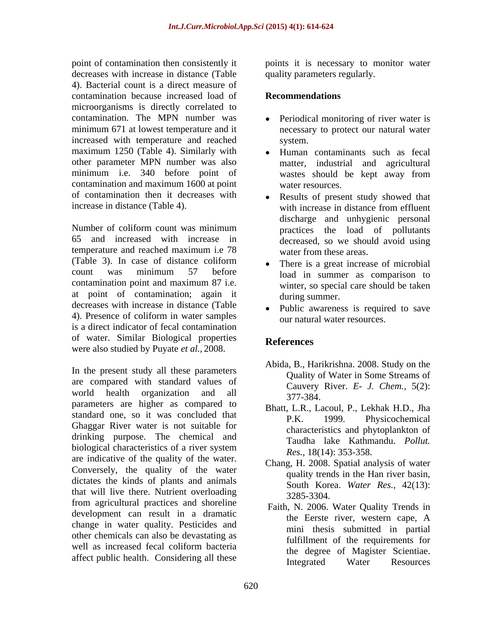point of contamination then consistently it boints it is necessary to monitor water decreases with increase in distance (Table 4). Bacterial count is a direct measure of contamination because increased load of **Recommendations** microorganisms is directly correlated to contamination. The MPN number was Periodical monitoring of river water is minimum 671 at lowest temperature and it necessary to protect our natural water increased with temperature and reached maximum 1250 (Table 4). Similarly with other parameter MPN number was also minimum i.e. 340 before point of wastes should be kept away from contamination and maximum 1600 at point of contamination then it decreases with

Number of coliform count was minimum practices the load of pollutants 65 and increased with increase in decreased, so we should avoid using temperature and reached maximum i.e 78 (Table 3). In case of distance coliform  $count$  was minimum 57 before  $load$  in summer as comparison to contamination point and maximum 87 i.e. at point of contamination; again it decreases with increase in distance (Table 4). Presence of coliform in water samples is a direct indicator of fecal contamination of water. Similar Biological properties were also studied by Puyate *et al.*, 2008.

In the present study all these parameters are compared with standard values of world health organization and all  $\frac{64.77}{377-384}$ world health organization and an  $\frac{377-384}{97}$ . standard one, so it was concluded that P.K. 1999. Ghaggar River water is not suitable for drinking purpose. The chemical and biological characteristics of a river system  $R_{BS} = 18(14) \cdot 353-358$ are indicative of the quality of the water. Conversely, the quality of the water dictates the kinds of plants and animals that will live there. Nutrient overloading  $\frac{3285-3304}{2285-3304}$ from agricultural practices and shoreline development can result in a dramatic the Eerste river, western cape, A change in water quality. Pesticides and other chemicals can also be devastating as well as increased fecal coliform bacteria

quality parameters regularly.

#### **Recommendations**

- system.
- Human contaminants such as fecal matter, industrial and agricultural wastes should be kept away from water resources.
- increase in distance (Table 4). with increase in distance from effluent Results of present study showed that with increase in distance from effluent discharge and unhygienic personal water from these areas.
	- There is a great increase of microbial load in summer as comparison to winter, so special care should be taken during summer.
	- Public awareness is required to save our natural water resources.

# **References**

- Abida, B., Harikrishna. 2008. Study on the Quality of Water in Some Streams of Cauvery River. *E- J. Chem.,* 5(2): 377-384.
- Bhatt, L.R., Lacoul, P., Lekhak H.D., Jha Physicochemical characteristics and phytoplankton of Taudha lake Kathmandu. *Pollut. Res.,* 18(14): 353-358.
- Chang, H. 2008. Spatial analysis of water quality trends in the Han river basin, South Korea. *Water Res.,* 42(13): 3285-3304.
- affect public health. Considering all these and the degree of magnetic belonging. Faith, N. 2006. Water Quality Trends in the Eerste river, western cape, A mini thesis submitted in partial fulfillment of the requirements for the degree of Magister Scientiae. Integrated Water Resources